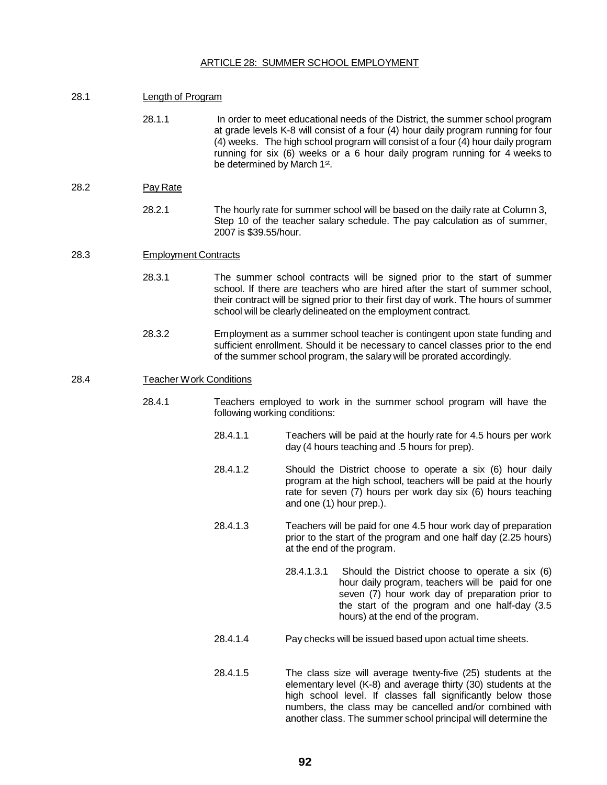## ARTICLE 28: SUMMER SCHOOL EMPLOYMENT

| 28.1 | Length of Program              |                                                                                                                                                                                                                                                                                                                                                                                   |            |                                                                                                                                                                                                                                                                                                                                                                                              |  |
|------|--------------------------------|-----------------------------------------------------------------------------------------------------------------------------------------------------------------------------------------------------------------------------------------------------------------------------------------------------------------------------------------------------------------------------------|------------|----------------------------------------------------------------------------------------------------------------------------------------------------------------------------------------------------------------------------------------------------------------------------------------------------------------------------------------------------------------------------------------------|--|
|      | 28.1.1                         | In order to meet educational needs of the District, the summer school program<br>at grade levels K-8 will consist of a four (4) hour daily program running for four<br>(4) weeks. The high school program will consist of a four (4) hour daily program<br>running for six (6) weeks or a 6 hour daily program running for 4 weeks to<br>be determined by March 1 <sup>st</sup> . |            |                                                                                                                                                                                                                                                                                                                                                                                              |  |
| 28.2 | Pay Rate                       |                                                                                                                                                                                                                                                                                                                                                                                   |            |                                                                                                                                                                                                                                                                                                                                                                                              |  |
|      | 28.2.1                         | The hourly rate for summer school will be based on the daily rate at Column 3,<br>Step 10 of the teacher salary schedule. The pay calculation as of summer,<br>2007 is \$39.55/hour.                                                                                                                                                                                              |            |                                                                                                                                                                                                                                                                                                                                                                                              |  |
| 28.3 | <b>Employment Contracts</b>    |                                                                                                                                                                                                                                                                                                                                                                                   |            |                                                                                                                                                                                                                                                                                                                                                                                              |  |
|      | 28.3.1                         | The summer school contracts will be signed prior to the start of summer<br>school. If there are teachers who are hired after the start of summer school,<br>their contract will be signed prior to their first day of work. The hours of summer<br>school will be clearly delineated on the employment contract.                                                                  |            |                                                                                                                                                                                                                                                                                                                                                                                              |  |
|      | 28.3.2                         | Employment as a summer school teacher is contingent upon state funding and<br>sufficient enrollment. Should it be necessary to cancel classes prior to the end<br>of the summer school program, the salary will be prorated accordingly.                                                                                                                                          |            |                                                                                                                                                                                                                                                                                                                                                                                              |  |
| 28.4 | <b>Teacher Work Conditions</b> |                                                                                                                                                                                                                                                                                                                                                                                   |            |                                                                                                                                                                                                                                                                                                                                                                                              |  |
|      | 28.4.1                         | Teachers employed to work in the summer school program will have the<br>following working conditions:                                                                                                                                                                                                                                                                             |            |                                                                                                                                                                                                                                                                                                                                                                                              |  |
|      |                                | 28.4.1.1                                                                                                                                                                                                                                                                                                                                                                          |            | Teachers will be paid at the hourly rate for 4.5 hours per work<br>day (4 hours teaching and .5 hours for prep).                                                                                                                                                                                                                                                                             |  |
|      |                                | 28.4.1.2                                                                                                                                                                                                                                                                                                                                                                          |            | Should the District choose to operate a six (6) hour daily<br>program at the high school, teachers will be paid at the hourly<br>rate for seven (7) hours per work day six (6) hours teaching<br>and one (1) hour prep.).<br>Teachers will be paid for one 4.5 hour work day of preparation<br>prior to the start of the program and one half day (2.25 hours)<br>at the end of the program. |  |
|      |                                | 28.4.1.3                                                                                                                                                                                                                                                                                                                                                                          |            |                                                                                                                                                                                                                                                                                                                                                                                              |  |
|      |                                |                                                                                                                                                                                                                                                                                                                                                                                   | 28.4.1.3.1 | Should the District choose to operate a six (6)<br>hour daily program, teachers will be paid for one<br>seven (7) hour work day of preparation prior to<br>the start of the program and one half-day (3.5<br>hours) at the end of the program.                                                                                                                                               |  |
|      |                                | 28.4.1.4                                                                                                                                                                                                                                                                                                                                                                          |            | Pay checks will be issued based upon actual time sheets.<br>The class size will average twenty-five (25) students at the<br>elementary level (K-8) and average thirty (30) students at the<br>high school level. If classes fall significantly below those<br>numbers, the class may be cancelled and/or combined with                                                                       |  |
|      |                                | 28.4.1.5                                                                                                                                                                                                                                                                                                                                                                          |            |                                                                                                                                                                                                                                                                                                                                                                                              |  |

another class. The summer school principal will determine the